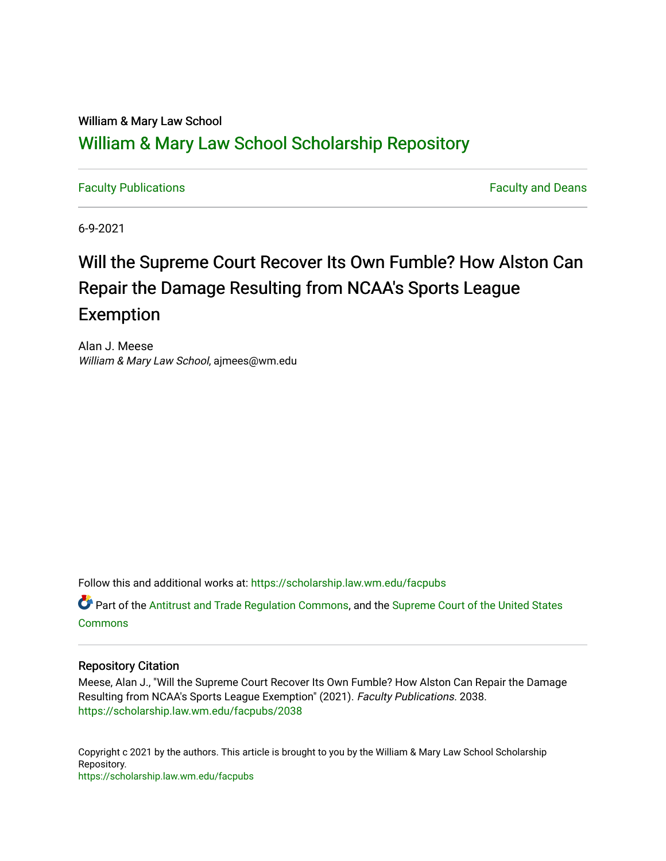# William & Mary Law School [William & Mary Law School Scholarship Repository](https://scholarship.law.wm.edu/)

[Faculty Publications](https://scholarship.law.wm.edu/facpubs) [Faculty and Deans](https://scholarship.law.wm.edu/faculty) 

6-9-2021

# Will the Supreme Court Recover Its Own Fumble? How Alston Can Repair the Damage Resulting from NCAA's Sports League Exemption

Alan J. Meese William & Mary Law School, ajmees@wm.edu

Follow this and additional works at: [https://scholarship.law.wm.edu/facpubs](https://scholarship.law.wm.edu/facpubs?utm_source=scholarship.law.wm.edu%2Ffacpubs%2F2038&utm_medium=PDF&utm_campaign=PDFCoverPages)

**C** Part of the [Antitrust and Trade Regulation Commons,](http://network.bepress.com/hgg/discipline/911?utm_source=scholarship.law.wm.edu%2Ffacpubs%2F2038&utm_medium=PDF&utm_campaign=PDFCoverPages) and the Supreme Court of the United States [Commons](http://network.bepress.com/hgg/discipline/1350?utm_source=scholarship.law.wm.edu%2Ffacpubs%2F2038&utm_medium=PDF&utm_campaign=PDFCoverPages)

### Repository Citation

Meese, Alan J., "Will the Supreme Court Recover Its Own Fumble? How Alston Can Repair the Damage Resulting from NCAA's Sports League Exemption" (2021). Faculty Publications. 2038. [https://scholarship.law.wm.edu/facpubs/2038](https://scholarship.law.wm.edu/facpubs/2038?utm_source=scholarship.law.wm.edu%2Ffacpubs%2F2038&utm_medium=PDF&utm_campaign=PDFCoverPages) 

Copyright c 2021 by the authors. This article is brought to you by the William & Mary Law School Scholarship Repository. <https://scholarship.law.wm.edu/facpubs>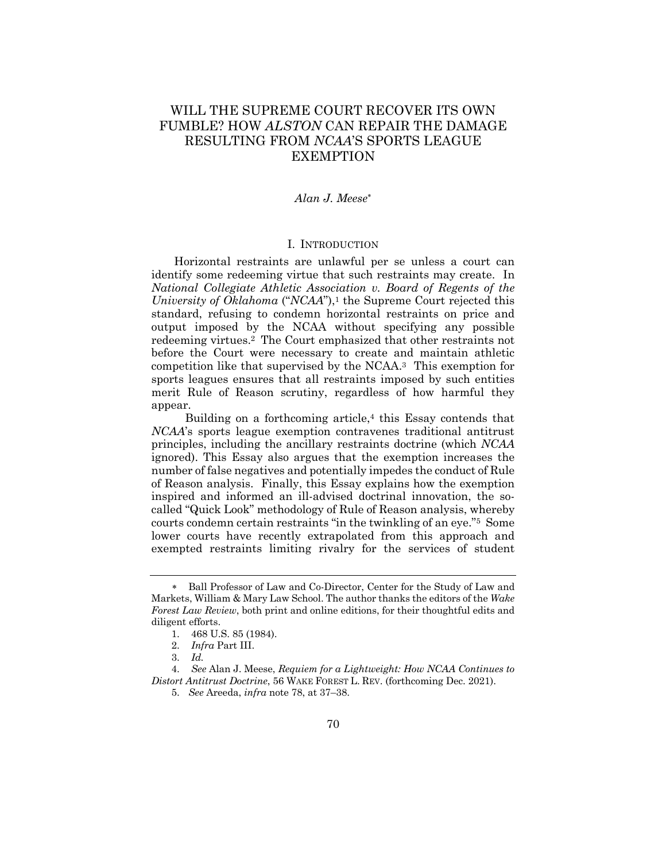## WILL THE SUPREME COURT RECOVER ITS OWN FUMBLE? HOW *ALSTON* CAN REPAIR THE DAMAGE RESULTING FROM *NCAA*'S SPORTS LEAGUE EXEMPTION

#### *Alan J. Meese*\*

#### I. INTRODUCTION

Horizontal restraints are unlawful per se unless a court can identify some redeeming virtue that such restraints may create. In *National Collegiate Athletic Association v. Board of Regents of the University of Oklahoma* ("*NCAA*"),<sup>1</sup> the Supreme Court rejected this standard, refusing to condemn horizontal restraints on price and output imposed by the NCAA without specifying any possible redeeming virtues.2 The Court emphasized that other restraints not before the Court were necessary to create and maintain athletic competition like that supervised by the NCAA.3 This exemption for sports leagues ensures that all restraints imposed by such entities merit Rule of Reason scrutiny, regardless of how harmful they appear.

Building on a forthcoming article,<sup>4</sup> this Essay contends that *NCAA*'s sports league exemption contravenes traditional antitrust principles, including the ancillary restraints doctrine (which *NCAA* ignored). This Essay also argues that the exemption increases the number of false negatives and potentially impedes the conduct of Rule of Reason analysis. Finally, this Essay explains how the exemption inspired and informed an ill-advised doctrinal innovation, the socalled "Quick Look" methodology of Rule of Reason analysis, whereby courts condemn certain restraints "in the twinkling of an eye."5 Some lower courts have recently extrapolated from this approach and exempted restraints limiting rivalry for the services of student

<sup>\*</sup>. Ball Professor of Law and Co-Director, Center for the Study of Law and Markets, William & Mary Law School. The author thanks the editors of the *Wake Forest Law Review*, both print and online editions, for their thoughtful edits and diligent efforts.

<sup>1.</sup> 468 U.S. 85 (1984).

<sup>2.</sup> *Infra* Part III.

<sup>3.</sup> *Id.*

<sup>4.</sup> *See* Alan J. Meese, *Requiem for a Lightweight: How NCAA Continues to Distort Antitrust Doctrine*, 56 WAKE FOREST L. REV. (forthcoming Dec. 2021).

<sup>5.</sup> *See* Areeda, *infra* note 78, at 37–38.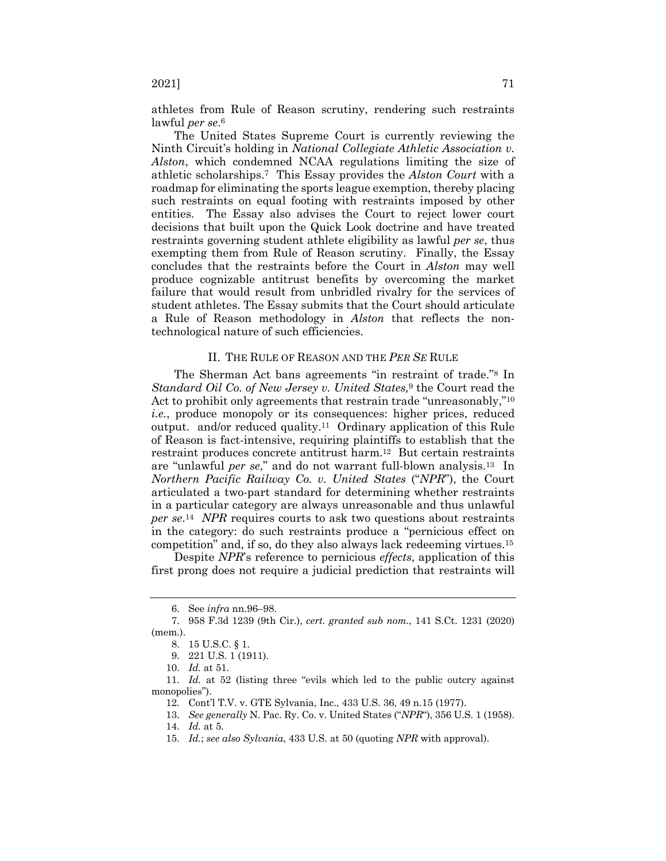athletes from Rule of Reason scrutiny, rendering such restraints lawful *per se*.6

The United States Supreme Court is currently reviewing the Ninth Circuit's holding in *National Collegiate Athletic Association v. Alston*, which condemned NCAA regulations limiting the size of athletic scholarships.7 This Essay provides the *Alston Court* with a roadmap for eliminating the sports league exemption, thereby placing such restraints on equal footing with restraints imposed by other entities. The Essay also advises the Court to reject lower court decisions that built upon the Quick Look doctrine and have treated restraints governing student athlete eligibility as lawful *per se*, thus exempting them from Rule of Reason scrutiny. Finally, the Essay concludes that the restraints before the Court in *Alston* may well produce cognizable antitrust benefits by overcoming the market failure that would result from unbridled rivalry for the services of student athletes. The Essay submits that the Court should articulate a Rule of Reason methodology in *Alston* that reflects the nontechnological nature of such efficiencies.

#### II. THE RULE OF REASON AND THE *PER SE* RULE

The Sherman Act bans agreements "in restraint of trade."8 In *Standard Oil Co. of New Jersey v. United States,*<sup>9</sup> the Court read the Act to prohibit only agreements that restrain trade "unreasonably,"10 *i.e.*, produce monopoly or its consequences: higher prices, reduced output. and/or reduced quality.11 Ordinary application of this Rule of Reason is fact-intensive, requiring plaintiffs to establish that the restraint produces concrete antitrust harm.12 But certain restraints are "unlawful *per se*," and do not warrant full-blown analysis.13 In *Northern Pacific Railway Co. v. United States* ("*NPR*"), the Court articulated a two-part standard for determining whether restraints in a particular category are always unreasonable and thus unlawful *per se*.14 *NPR* requires courts to ask two questions about restraints in the category: do such restraints produce a "pernicious effect on competition" and, if so, do they also always lack redeeming virtues.15

Despite *NPR*'s reference to pernicious *effects*, application of this first prong does not require a judicial prediction that restraints will

<sup>6.</sup> See *infra* nn.96–98.

<sup>7.</sup> 958 F.3d 1239 (9th Cir.), *cert. granted sub nom.*, 141 S.Ct. 1231 (2020) (mem.).

<sup>8.</sup> 15 U.S.C. § 1.

<sup>9.</sup> 221 U.S. 1 (1911).

<sup>10.</sup> *Id.* at 51.

<sup>11.</sup> *Id.* at 52 (listing three "evils which led to the public outcry against monopolies").

<sup>12.</sup> Cont'l T.V. v. GTE Sylvania, Inc., 433 U.S. 36, 49 n.15 (1977).

<sup>13.</sup> *See generally* N. Pac. Ry. Co. v. United States ("*NPR*"), 356 U.S. 1 (1958).

<sup>14.</sup> *Id.* at 5.

<sup>15.</sup> *Id.*; *see also Sylvania*, 433 U.S. at 50 (quoting *NPR* with approval).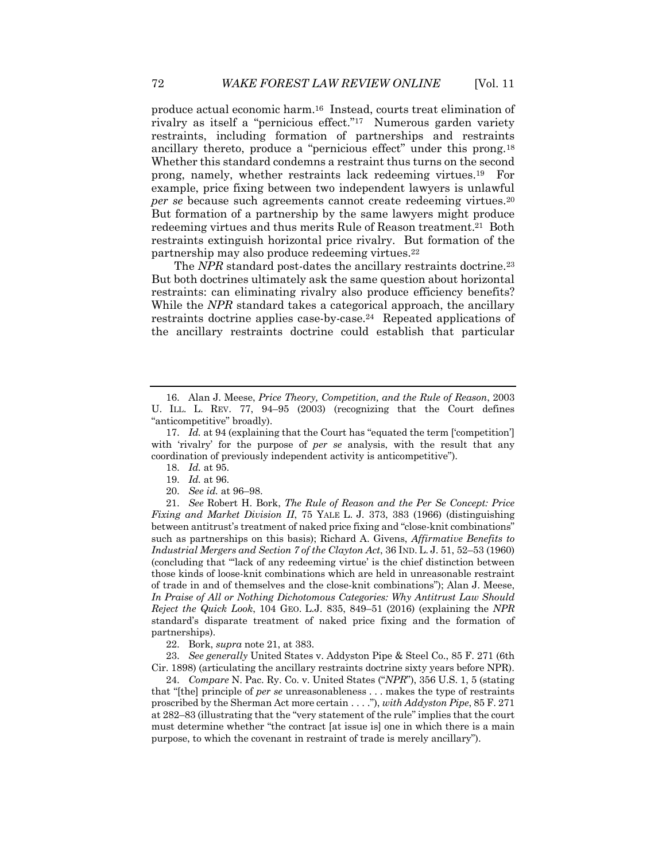produce actual economic harm.16 Instead, courts treat elimination of rivalry as itself a "pernicious effect."17 Numerous garden variety restraints, including formation of partnerships and restraints ancillary thereto, produce a "pernicious effect" under this prong.18 Whether this standard condemns a restraint thus turns on the second prong, namely, whether restraints lack redeeming virtues.19 For example, price fixing between two independent lawyers is unlawful *per se* because such agreements cannot create redeeming virtues.20 But formation of a partnership by the same lawyers might produce redeeming virtues and thus merits Rule of Reason treatment.21 Both restraints extinguish horizontal price rivalry. But formation of the partnership may also produce redeeming virtues.22

The *NPR* standard post-dates the ancillary restraints doctrine.<sup>23</sup> But both doctrines ultimately ask the same question about horizontal restraints: can eliminating rivalry also produce efficiency benefits? While the *NPR* standard takes a categorical approach, the ancillary restraints doctrine applies case-by-case.24 Repeated applications of the ancillary restraints doctrine could establish that particular

23. *See generally* United States v. Addyston Pipe & Steel Co., 85 F. 271 (6th Cir. 1898) (articulating the ancillary restraints doctrine sixty years before NPR).

24. *Compare* N. Pac. Ry. Co. v. United States ("*NPR*"), 356 U.S. 1, 5 (stating that "[the] principle of *per se* unreasonableness . . . makes the type of restraints proscribed by the Sherman Act more certain . . . ."), *with Addyston Pipe*, 85 F. 271 at 282–83 (illustrating that the "very statement of the rule" implies that the court must determine whether "the contract [at issue is] one in which there is a main purpose, to which the covenant in restraint of trade is merely ancillary").

<sup>16.</sup> Alan J. Meese, *Price Theory, Competition, and the Rule of Reason*, 2003 U. ILL. L. REV. 77, 94–95 (2003) (recognizing that the Court defines "anticompetitive" broadly).

<sup>17.</sup> *Id.* at 94 (explaining that the Court has "equated the term ['competition'] with 'rivalry' for the purpose of *per se* analysis, with the result that any coordination of previously independent activity is anticompetitive").

<sup>18.</sup> *Id.* at 95.

<sup>19.</sup> *Id.* at 96.

<sup>20.</sup> *See id.* at 96–98.

<sup>21.</sup> *See* Robert H. Bork, *The Rule of Reason and the Per Se Concept: Price Fixing and Market Division II*, 75 YALE L. J. 373, 383 (1966) (distinguishing between antitrust's treatment of naked price fixing and "close-knit combinations" such as partnerships on this basis); Richard A. Givens, *Affirmative Benefits to Industrial Mergers and Section 7 of the Clayton Act*, 36 IND. L. J. 51, 52–53 (1960) (concluding that "'lack of any redeeming virtue' is the chief distinction between those kinds of loose-knit combinations which are held in unreasonable restraint of trade in and of themselves and the close-knit combinations"); Alan J. Meese, *In Praise of All or Nothing Dichotomous Categories: Why Antitrust Law Should Reject the Quick Look*, 104 GEO. L.J. 835, 849–51 (2016) (explaining the *NPR* standard's disparate treatment of naked price fixing and the formation of partnerships).

<sup>22.</sup> Bork, *supra* note 21, at 383.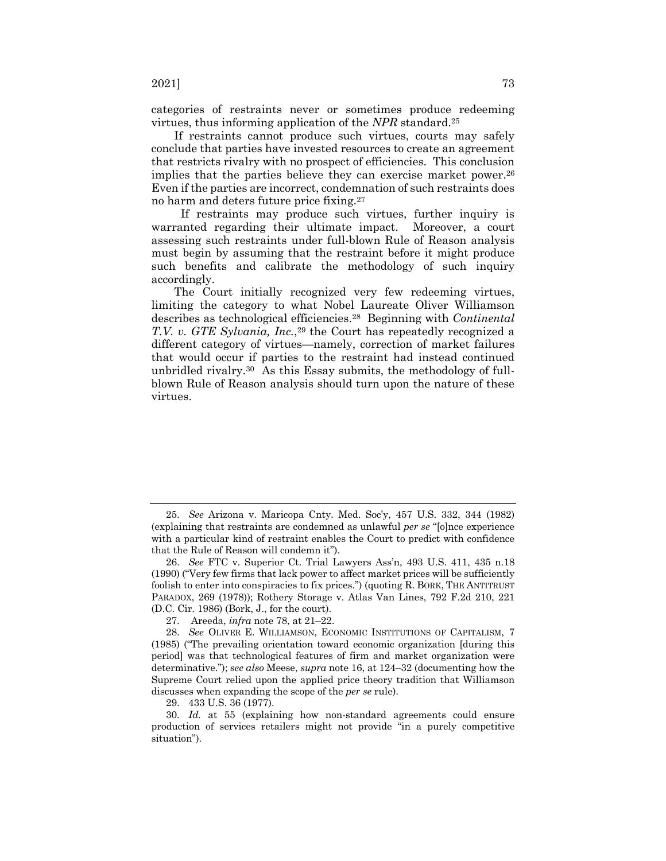categories of restraints never or sometimes produce redeeming virtues, thus informing application of the *NPR* standard.25

If restraints cannot produce such virtues, courts may safely conclude that parties have invested resources to create an agreement that restricts rivalry with no prospect of efficiencies. This conclusion implies that the parties believe they can exercise market power.<sup>26</sup> Even if the parties are incorrect, condemnation of such restraints does no harm and deters future price fixing.27

 If restraints may produce such virtues, further inquiry is warranted regarding their ultimate impact. Moreover, a court assessing such restraints under full-blown Rule of Reason analysis must begin by assuming that the restraint before it might produce such benefits and calibrate the methodology of such inquiry accordingly.

The Court initially recognized very few redeeming virtues, limiting the category to what Nobel Laureate Oliver Williamson describes as technological efficiencies.28 Beginning with *Continental T.V. v. GTE Sylvania, Inc.*,<sup>29</sup> the Court has repeatedly recognized a different category of virtues—namely, correction of market failures that would occur if parties to the restraint had instead continued unbridled rivalry.30 As this Essay submits, the methodology of fullblown Rule of Reason analysis should turn upon the nature of these virtues.

29. 433 U.S. 36 (1977).

<sup>25.</sup> *See* Arizona v. Maricopa Cnty. Med. Soc'y, 457 U.S. 332, 344 (1982) (explaining that restraints are condemned as unlawful *per se* "[o]nce experience with a particular kind of restraint enables the Court to predict with confidence that the Rule of Reason will condemn it").

<sup>26.</sup> *See* FTC v. Superior Ct. Trial Lawyers Ass'n, 493 U.S. 411, 435 n.18 (1990) ("Very few firms that lack power to affect market prices will be sufficiently foolish to enter into conspiracies to fix prices.") (quoting R. BORK, THE ANTITRUST PARADOX, 269 (1978)); Rothery Storage v. Atlas Van Lines, 792 F.2d 210, 221 (D.C. Cir. 1986) (Bork, J., for the court).

<sup>27.</sup> Areeda, *infra* note 78, at 21–22.

<sup>28.</sup> *See* OLIVER E. WILLIAMSON, ECONOMIC INSTITUTIONS OF CAPITALISM, 7 (1985) ("The prevailing orientation toward economic organization [during this period] was that technological features of firm and market organization were determinative."); *see also* Meese, *supra* note 16, at 124–32 (documenting how the Supreme Court relied upon the applied price theory tradition that Williamson discusses when expanding the scope of the *per se* rule).

<sup>30.</sup> *Id.* at 55 (explaining how non-standard agreements could ensure production of services retailers might not provide "in a purely competitive situation").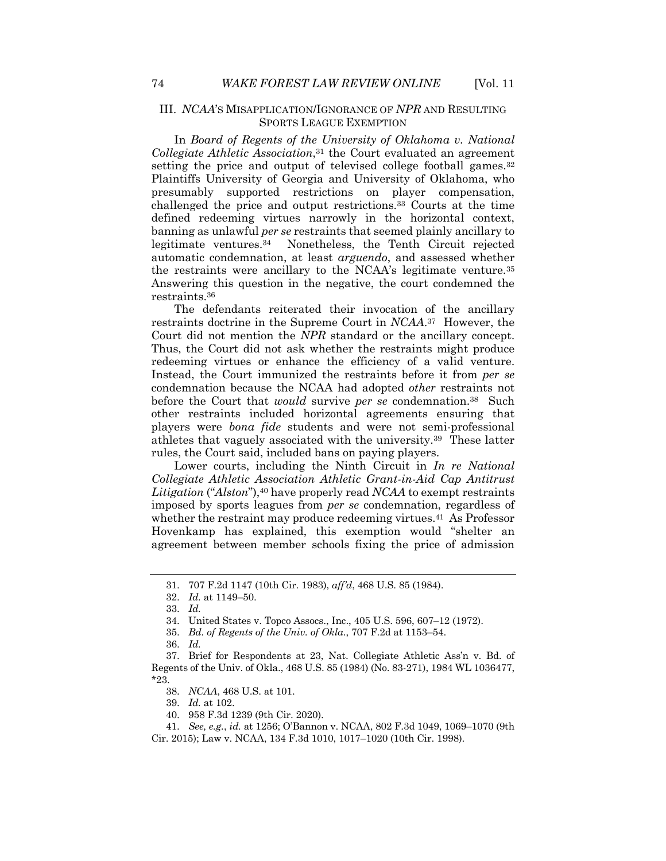#### III. *NCAA*'S MISAPPLICATION/IGNORANCE OF *NPR* AND RESULTING SPORTS LEAGUE EXEMPTION

In *Board of Regents of the University of Oklahoma v. National Collegiate Athletic Association*,31 the Court evaluated an agreement setting the price and output of televised college football games.32 Plaintiffs University of Georgia and University of Oklahoma, who presumably supported restrictions on player compensation, challenged the price and output restrictions.33 Courts at the time defined redeeming virtues narrowly in the horizontal context, banning as unlawful *per se* restraints that seemed plainly ancillary to legitimate ventures.34 Nonetheless, the Tenth Circuit rejected automatic condemnation, at least *arguendo*, and assessed whether the restraints were ancillary to the NCAA's legitimate venture.35 Answering this question in the negative, the court condemned the restraints.<sup>36</sup>

The defendants reiterated their invocation of the ancillary restraints doctrine in the Supreme Court in *NCAA*.37 However, the Court did not mention the *NPR* standard or the ancillary concept. Thus, the Court did not ask whether the restraints might produce redeeming virtues or enhance the efficiency of a valid venture. Instead, the Court immunized the restraints before it from *per se* condemnation because the NCAA had adopted *other* restraints not before the Court that *would* survive *per se* condemnation.38 Such other restraints included horizontal agreements ensuring that players were *bona fide* students and were not semi-professional athletes that vaguely associated with the university.39 These latter rules, the Court said, included bans on paying players.

Lower courts, including the Ninth Circuit in *In re National Collegiate Athletic Association Athletic Grant-in-Aid Cap Antitrust Litigation* ("*Alston*"),40 have properly read *NCAA* to exempt restraints imposed by sports leagues from *per se* condemnation, regardless of whether the restraint may produce redeeming virtues.41 As Professor Hovenkamp has explained, this exemption would "shelter an agreement between member schools fixing the price of admission

39. *Id.* at 102.

<sup>31.</sup> 707 F.2d 1147 (10th Cir. 1983), *aff'd*, 468 U.S. 85 (1984).

<sup>32.</sup> *Id.* at 1149–50.

<sup>33.</sup> *Id.*

<sup>34.</sup> United States v. Topco Assocs., Inc., 405 U.S. 596, 607–12 (1972).

<sup>35.</sup> *Bd. of Regents of the Univ. of Okla.*, 707 F.2d at 1153–54.

<sup>36.</sup> *Id.*

<sup>37.</sup> Brief for Respondents at 23, Nat. Collegiate Athletic Ass'n v. Bd. of Regents of the Univ. of Okla., 468 U.S. 85 (1984) (No. 83-271), 1984 WL 1036477, \*23.

<sup>38.</sup> *NCAA*, 468 U.S. at 101.

<sup>40.</sup> 958 F.3d 1239 (9th Cir. 2020).

<sup>41.</sup> *See, e.g.*, *id.* at 1256; O'Bannon v. NCAA, 802 F.3d 1049, 1069–1070 (9th Cir. 2015); Law v. NCAA, 134 F.3d 1010, 1017–1020 (10th Cir. 1998).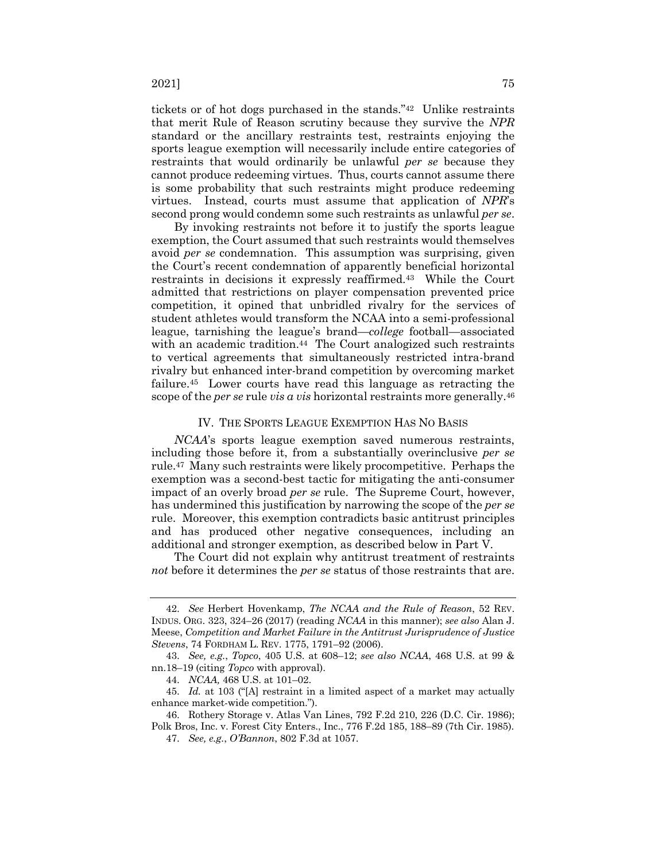$2021$ ]  $75$ 

tickets or of hot dogs purchased in the stands."42 Unlike restraints that merit Rule of Reason scrutiny because they survive the *NPR* standard or the ancillary restraints test, restraints enjoying the sports league exemption will necessarily include entire categories of restraints that would ordinarily be unlawful *per se* because they cannot produce redeeming virtues. Thus, courts cannot assume there is some probability that such restraints might produce redeeming virtues. Instead, courts must assume that application of *NPR*'s second prong would condemn some such restraints as unlawful *per se*.

By invoking restraints not before it to justify the sports league exemption, the Court assumed that such restraints would themselves avoid *per se* condemnation. This assumption was surprising, given the Court's recent condemnation of apparently beneficial horizontal restraints in decisions it expressly reaffirmed.<sup>43</sup> While the Court admitted that restrictions on player compensation prevented price competition, it opined that unbridled rivalry for the services of student athletes would transform the NCAA into a semi-professional league, tarnishing the league's brand—*college* football—associated with an academic tradition.<sup>44</sup> The Court analogized such restraints to vertical agreements that simultaneously restricted intra-brand rivalry but enhanced inter-brand competition by overcoming market failure.45 Lower courts have read this language as retracting the scope of the *per se* rule *vis a vis* horizontal restraints more generally.46

#### IV. THE SPORTS LEAGUE EXEMPTION HAS NO BASIS

*NCAA*'s sports league exemption saved numerous restraints, including those before it, from a substantially overinclusive *per se* rule.47 Many such restraints were likely procompetitive. Perhaps the exemption was a second-best tactic for mitigating the anti-consumer impact of an overly broad *per se* rule. The Supreme Court, however, has undermined this justification by narrowing the scope of the *per se* rule. Moreover, this exemption contradicts basic antitrust principles and has produced other negative consequences, including an additional and stronger exemption, as described below in Part V.

The Court did not explain why antitrust treatment of restraints *not* before it determines the *per se* status of those restraints that are.

<sup>42.</sup> *See* Herbert Hovenkamp, *The NCAA and the Rule of Reason*, 52 REV. INDUS. ORG. 323, 324–26 (2017) (reading *NCAA* in this manner); *see also* Alan J. Meese, *Competition and Market Failure in the Antitrust Jurisprudence of Justice Stevens*, 74 FORDHAM L. REV. 1775, 1791–92 (2006).

<sup>43.</sup> *See, e.g.*, *Topco*, 405 U.S. at 608–12; *see also NCAA*, 468 U.S. at 99 & nn.18–19 (citing *Topco* with approval).

<sup>44.</sup> *NCAA,* 468 U.S. at 101–02.

<sup>45.</sup> *Id.* at 103 ("[A] restraint in a limited aspect of a market may actually enhance market-wide competition.").

<sup>46.</sup> Rothery Storage v. Atlas Van Lines, 792 F.2d 210, 226 (D.C. Cir. 1986); Polk Bros, Inc. v. Forest City Enters., Inc., 776 F.2d 185, 188–89 (7th Cir. 1985).

<sup>47.</sup> *See, e.g.*, *O'Bannon*, 802 F.3d at 1057.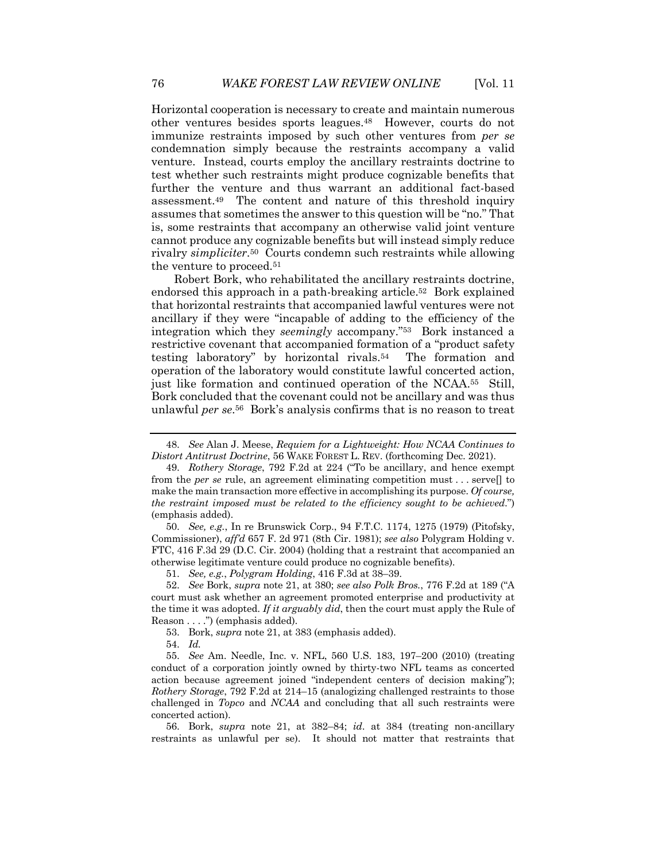Horizontal cooperation is necessary to create and maintain numerous other ventures besides sports leagues.48 However, courts do not immunize restraints imposed by such other ventures from *per se* condemnation simply because the restraints accompany a valid venture. Instead, courts employ the ancillary restraints doctrine to test whether such restraints might produce cognizable benefits that further the venture and thus warrant an additional fact-based assessment.49 The content and nature of this threshold inquiry assumes that sometimes the answer to this question will be "no." That is, some restraints that accompany an otherwise valid joint venture cannot produce any cognizable benefits but will instead simply reduce rivalry *simpliciter*.50 Courts condemn such restraints while allowing the venture to proceed.51

Robert Bork, who rehabilitated the ancillary restraints doctrine, endorsed this approach in a path-breaking article.52 Bork explained that horizontal restraints that accompanied lawful ventures were not ancillary if they were "incapable of adding to the efficiency of the integration which they *seemingly* accompany."53 Bork instanced a restrictive covenant that accompanied formation of a "product safety testing laboratory" by horizontal rivals.54 The formation and operation of the laboratory would constitute lawful concerted action, just like formation and continued operation of the NCAA.55 Still, Bork concluded that the covenant could not be ancillary and was thus unlawful *per se*.56 Bork's analysis confirms that is no reason to treat

50. *See, e.g.*, In re Brunswick Corp., 94 F.T.C. 1174, 1275 (1979) (Pitofsky, Commissioner), *aff'd* 657 F. 2d 971 (8th Cir. 1981); *see also* Polygram Holding v. FTC, 416 F.3d 29 (D.C. Cir. 2004) (holding that a restraint that accompanied an otherwise legitimate venture could produce no cognizable benefits).

51. *See, e.g.*, *Polygram Holding*, 416 F.3d at 38–39.

52. *See* Bork, *supra* note 21, at 380; *see also Polk Bros.*, 776 F.2d at 189 ("A court must ask whether an agreement promoted enterprise and productivity at the time it was adopted. *If it arguably did*, then the court must apply the Rule of Reason . . . .") (emphasis added).

53. Bork, *supra* note 21, at 383 (emphasis added).

54. *Id.*

56. Bork, *supra* note 21, at 382–84; *id*. at 384 (treating non-ancillary restraints as unlawful per se). It should not matter that restraints that

<sup>48.</sup> *See* Alan J. Meese, *Requiem for a Lightweight: How NCAA Continues to Distort Antitrust Doctrine*, 56 WAKE FOREST L. REV. (forthcoming Dec. 2021).

<sup>49.</sup> *Rothery Storage*, 792 F.2d at 224 ("To be ancillary, and hence exempt from the *per se* rule, an agreement eliminating competition must . . . serve[] to make the main transaction more effective in accomplishing its purpose. *Of course, the restraint imposed must be related to the efficiency sought to be achieved*.") (emphasis added).

<sup>55.</sup> *See* Am. Needle, Inc. v. NFL, 560 U.S. 183, 197–200 (2010) (treating conduct of a corporation jointly owned by thirty-two NFL teams as concerted action because agreement joined "independent centers of decision making"); *Rothery Storage*, 792 F.2d at 214–15 (analogizing challenged restraints to those challenged in *Topco* and *NCAA* and concluding that all such restraints were concerted action).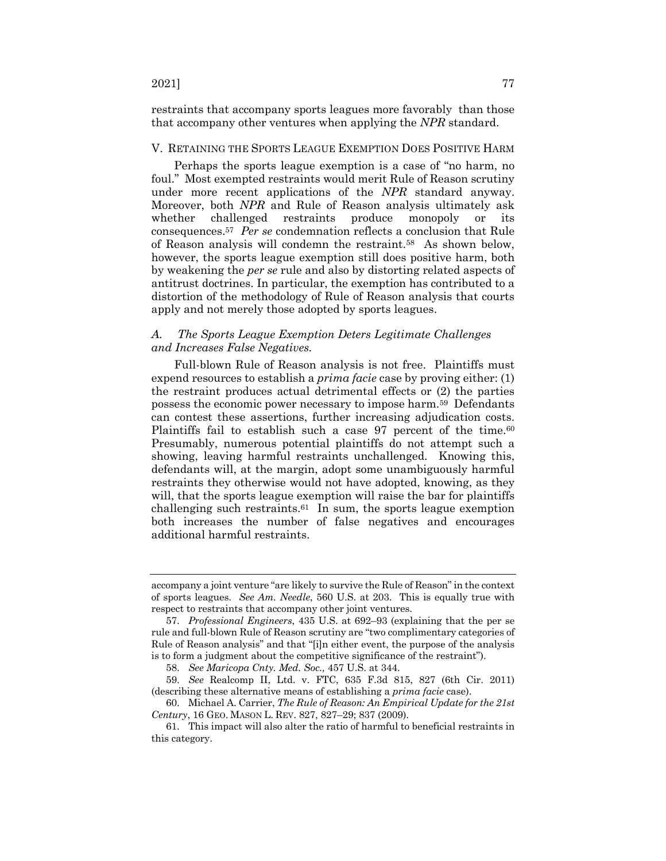restraints that accompany sports leagues more favorably than those that accompany other ventures when applying the *NPR* standard.

#### V. RETAINING THE SPORTS LEAGUE EXEMPTION DOES POSITIVE HARM

Perhaps the sports league exemption is a case of "no harm, no foul." Most exempted restraints would merit Rule of Reason scrutiny under more recent applications of the *NPR* standard anyway. Moreover, both *NPR* and Rule of Reason analysis ultimately ask whether challenged restraints produce monopoly or its consequences.57 *Per se* condemnation reflects a conclusion that Rule of Reason analysis will condemn the restraint.58 As shown below, however, the sports league exemption still does positive harm, both by weakening the *per se* rule and also by distorting related aspects of antitrust doctrines. In particular, the exemption has contributed to a distortion of the methodology of Rule of Reason analysis that courts apply and not merely those adopted by sports leagues.

#### *A. The Sports League Exemption Deters Legitimate Challenges and Increases False Negatives.*

Full-blown Rule of Reason analysis is not free. Plaintiffs must expend resources to establish a *prima facie* case by proving either: (1) the restraint produces actual detrimental effects or (2) the parties possess the economic power necessary to impose harm.59 Defendants can contest these assertions, further increasing adjudication costs. Plaintiffs fail to establish such a case 97 percent of the time.<sup>60</sup> Presumably, numerous potential plaintiffs do not attempt such a showing, leaving harmful restraints unchallenged. Knowing this, defendants will, at the margin, adopt some unambiguously harmful restraints they otherwise would not have adopted, knowing, as they will, that the sports league exemption will raise the bar for plaintiffs challenging such restraints.61 In sum, the sports league exemption both increases the number of false negatives and encourages additional harmful restraints.

accompany a joint venture "are likely to survive the Rule of Reason" in the context of sports leagues. *See Am. Needle*, 560 U.S. at 203. This is equally true with respect to restraints that accompany other joint ventures.

<sup>57.</sup> *Professional Engineers*, 435 U.S. at 692–93 (explaining that the per se rule and full-blown Rule of Reason scrutiny are "two complimentary categories of Rule of Reason analysis" and that "[i]n either event, the purpose of the analysis is to form a judgment about the competitive significance of the restraint").

<sup>58.</sup> *See Maricopa Cnty. Med. Soc.,* 457 U.S. at 344.

<sup>59.</sup> *See* Realcomp II, Ltd. v. FTC, 635 F.3d 815, 827 (6th Cir. 2011) (describing these alternative means of establishing a *prima facie* case).

<sup>60.</sup> Michael A. Carrier, *The Rule of Reason: An Empirical Update for the 21st Century*, 16 GEO. MASON L. REV. 827, 827–29; 837 (2009).

<sup>61.</sup> This impact will also alter the ratio of harmful to beneficial restraints in this category.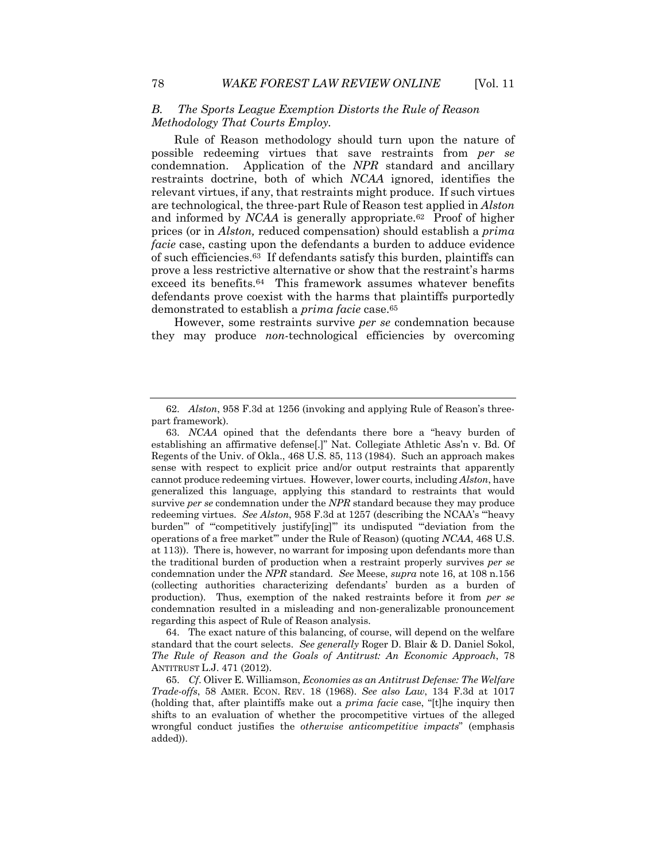#### *B. The Sports League Exemption Distorts the Rule of Reason Methodology That Courts Employ.*

Rule of Reason methodology should turn upon the nature of possible redeeming virtues that save restraints from *per se* condemnation. Application of the *NPR* standard and ancillary restraints doctrine, both of which *NCAA* ignored, identifies the relevant virtues, if any, that restraints might produce. If such virtues are technological, the three-part Rule of Reason test applied in *Alston* and informed by *NCAA* is generally appropriate.<sup>62</sup> Proof of higher prices (or in *Alston,* reduced compensation) should establish a *prima facie* case, casting upon the defendants a burden to adduce evidence of such efficiencies.63 If defendants satisfy this burden, plaintiffs can prove a less restrictive alternative or show that the restraint's harms exceed its benefits.64 This framework assumes whatever benefits defendants prove coexist with the harms that plaintiffs purportedly demonstrated to establish a *prima facie* case.65

However, some restraints survive *per se* condemnation because they may produce *non*-technological efficiencies by overcoming

64. The exact nature of this balancing, of course, will depend on the welfare standard that the court selects. *See generally* Roger D. Blair & D. Daniel Sokol, *The Rule of Reason and the Goals of Antitrust: An Economic Approach*, 78 ANTITRUST L.J. 471 (2012).

<sup>62.</sup> *Alston*, 958 F.3d at 1256 (invoking and applying Rule of Reason's threepart framework).

<sup>63.</sup> *NCAA* opined that the defendants there bore a "heavy burden of establishing an affirmative defense[.]" Nat. Collegiate Athletic Ass'n v. Bd. Of Regents of the Univ. of Okla., 468 U.S. 85, 113 (1984). Such an approach makes sense with respect to explicit price and/or output restraints that apparently cannot produce redeeming virtues. However, lower courts, including *Alston*, have generalized this language, applying this standard to restraints that would survive *per se* condemnation under the *NPR* standard because they may produce redeeming virtues. *See Alston*, 958 F.3d at 1257 (describing the NCAA's "'heavy burden'" of "'competitively justify[ing]'" its undisputed "'deviation from the operations of a free market'" under the Rule of Reason) (quoting *NCAA*, 468 U.S. at 113)). There is, however, no warrant for imposing upon defendants more than the traditional burden of production when a restraint properly survives *per se* condemnation under the *NPR* standard. *See* Meese, *supra* note 16, at 108 n.156 (collecting authorities characterizing defendants' burden as a burden of production). Thus, exemption of the naked restraints before it from *per se* condemnation resulted in a misleading and non-generalizable pronouncement regarding this aspect of Rule of Reason analysis.

<sup>65.</sup> *Cf*. Oliver E. Williamson, *Economies as an Antitrust Defense: The Welfare Trade-offs*, 58 AMER. ECON. REV. 18 (1968). *See also Law*, 134 F.3d at 1017 (holding that, after plaintiffs make out a *prima facie* case, "[t]he inquiry then shifts to an evaluation of whether the procompetitive virtues of the alleged wrongful conduct justifies the *otherwise anticompetitive impacts*" (emphasis added)).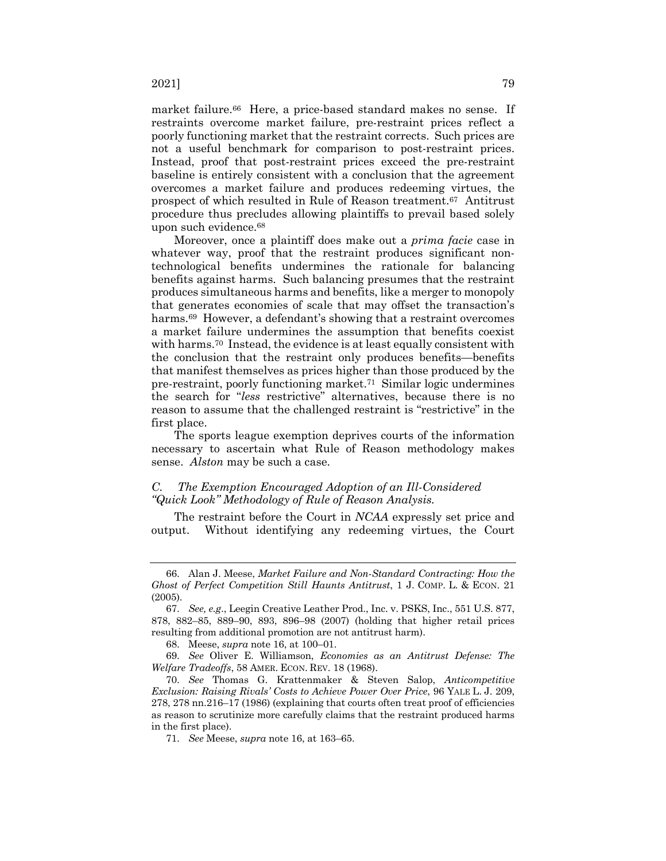market failure.<sup>66</sup> Here, a price-based standard makes no sense. If restraints overcome market failure, pre-restraint prices reflect a poorly functioning market that the restraint corrects. Such prices are not a useful benchmark for comparison to post-restraint prices. Instead, proof that post-restraint prices exceed the pre-restraint baseline is entirely consistent with a conclusion that the agreement overcomes a market failure and produces redeeming virtues, the prospect of which resulted in Rule of Reason treatment.67 Antitrust procedure thus precludes allowing plaintiffs to prevail based solely upon such evidence.68

Moreover, once a plaintiff does make out a *prima facie* case in whatever way, proof that the restraint produces significant nontechnological benefits undermines the rationale for balancing benefits against harms. Such balancing presumes that the restraint produces simultaneous harms and benefits, like a merger to monopoly that generates economies of scale that may offset the transaction's harms.<sup>69</sup> However, a defendant's showing that a restraint overcomes a market failure undermines the assumption that benefits coexist with harms.70 Instead, the evidence is at least equally consistent with the conclusion that the restraint only produces benefits—benefits that manifest themselves as prices higher than those produced by the pre-restraint, poorly functioning market.71 Similar logic undermines the search for "*less* restrictive" alternatives, because there is no reason to assume that the challenged restraint is "restrictive" in the first place.

The sports league exemption deprives courts of the information necessary to ascertain what Rule of Reason methodology makes sense. *Alston* may be such a case.

#### *C. The Exemption Encouraged Adoption of an Ill-Considered "Quick Look" Methodology of Rule of Reason Analysis.*

The restraint before the Court in *NCAA* expressly set price and output. Without identifying any redeeming virtues, the Court

<sup>66.</sup> Alan J. Meese, *Market Failure and Non-Standard Contracting: How the Ghost of Perfect Competition Still Haunts Antitrust*, 1 J. COMP. L. & ECON. 21 (2005).

<sup>67.</sup> *See, e.g*., Leegin Creative Leather Prod., Inc. v. PSKS, Inc., 551 U.S. 877, 878, 882–85, 889–90, 893, 896–98 (2007) (holding that higher retail prices resulting from additional promotion are not antitrust harm).

<sup>68.</sup> Meese, *supra* note 16, at 100–01.

<sup>69.</sup> *See* Oliver E. Williamson, *Economies as an Antitrust Defense: The Welfare Tradeoffs*, 58 AMER. ECON. REV. 18 (1968).

<sup>70.</sup> *See* Thomas G. Krattenmaker & Steven Salop, *Anticompetitive Exclusion: Raising Rivals' Costs to Achieve Power Over Price*, 96 YALE L. J. 209, 278, 278 nn.216–17 (1986) (explaining that courts often treat proof of efficiencies as reason to scrutinize more carefully claims that the restraint produced harms in the first place).

<sup>71.</sup> *See* Meese, *supra* note 16, at 163–65.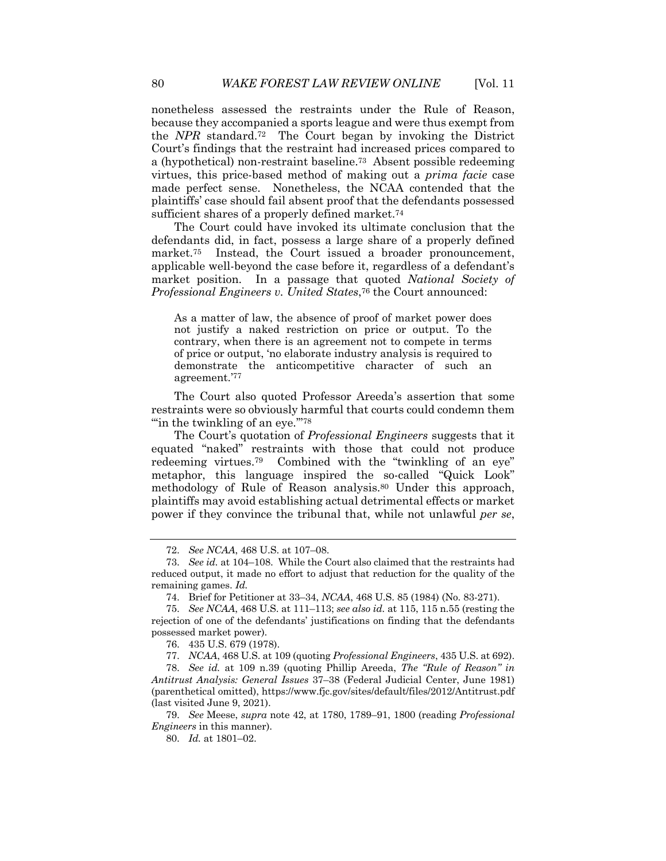nonetheless assessed the restraints under the Rule of Reason, because they accompanied a sports league and were thus exempt from the *NPR* standard.72 The Court began by invoking the District Court's findings that the restraint had increased prices compared to a (hypothetical) non-restraint baseline.73 Absent possible redeeming virtues, this price-based method of making out a *prima facie* case made perfect sense. Nonetheless, the NCAA contended that the plaintiffs' case should fail absent proof that the defendants possessed sufficient shares of a properly defined market.<sup>74</sup>

The Court could have invoked its ultimate conclusion that the defendants did, in fact, possess a large share of a properly defined market.<sup>75</sup> Instead, the Court issued a broader pronouncement, applicable well-beyond the case before it, regardless of a defendant's market position. In a passage that quoted *National Society of Professional Engineers v. United States*,76 the Court announced:

As a matter of law, the absence of proof of market power does not justify a naked restriction on price or output. To the contrary, when there is an agreement not to compete in terms of price or output, 'no elaborate industry analysis is required to demonstrate the anticompetitive character of such an agreement.'77

The Court also quoted Professor Areeda's assertion that some restraints were so obviously harmful that courts could condemn them "in the twinkling of an eye."<sup>78</sup>"

The Court's quotation of *Professional Engineers* suggests that it equated "naked" restraints with those that could not produce redeeming virtues.<sup>79</sup> Combined with the "twinkling of an eye" metaphor, this language inspired the so-called "Quick Look" methodology of Rule of Reason analysis.80 Under this approach, plaintiffs may avoid establishing actual detrimental effects or market power if they convince the tribunal that, while not unlawful *per se*,

<sup>72.</sup> *See NCAA*, 468 U.S. at 107–08.

<sup>73.</sup> *See id.* at 104–108. While the Court also claimed that the restraints had reduced output, it made no effort to adjust that reduction for the quality of the remaining games. *Id.*

<sup>74.</sup> Brief for Petitioner at 33–34, *NCAA*, 468 U.S. 85 (1984) (No. 83-271).

<sup>75.</sup> *See NCAA*, 468 U.S. at 111–113; *see also id.* at 115, 115 n.55 (resting the rejection of one of the defendants' justifications on finding that the defendants possessed market power).

<sup>76.</sup> 435 U.S. 679 (1978).

<sup>77.</sup> *NCAA*, 468 U.S. at 109 (quoting *Professional Engineers*, 435 U.S. at 692).

<sup>78.</sup> *See id.* at 109 n.39 (quoting Phillip Areeda, *The "Rule of Reason" in Antitrust Analysis: General Issues* 37–38 (Federal Judicial Center, June 1981) (parenthetical omitted), https://www.fjc.gov/sites/default/files/2012/Antitrust.pdf (last visited June 9, 2021).

<sup>79.</sup> *See* Meese, *supra* note 42, at 1780, 1789–91, 1800 (reading *Professional Engineers* in this manner).

<sup>80.</sup> *Id.* at 1801–02.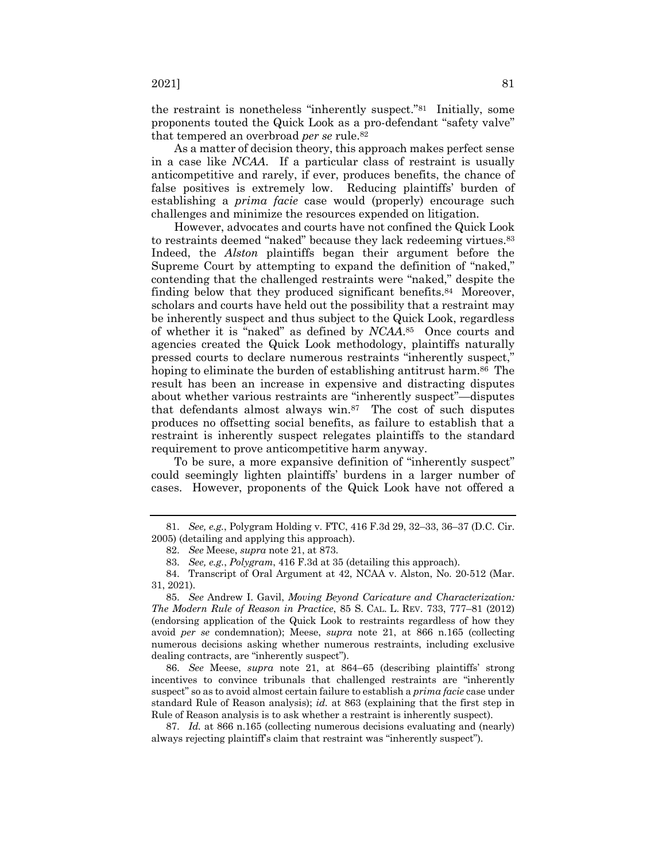the restraint is nonetheless "inherently suspect."81 Initially, some proponents touted the Quick Look as a pro-defendant "safety valve" that tempered an overbroad *per se* rule.82

As a matter of decision theory, this approach makes perfect sense in a case like *NCAA*. If a particular class of restraint is usually anticompetitive and rarely, if ever, produces benefits, the chance of false positives is extremely low. Reducing plaintiffs' burden of establishing a *prima facie* case would (properly) encourage such challenges and minimize the resources expended on litigation.

However, advocates and courts have not confined the Quick Look to restraints deemed "naked" because they lack redeeming virtues.<sup>83</sup> Indeed, the *Alston* plaintiffs began their argument before the Supreme Court by attempting to expand the definition of "naked," contending that the challenged restraints were "naked," despite the finding below that they produced significant benefits.<sup>84</sup> Moreover, scholars and courts have held out the possibility that a restraint may be inherently suspect and thus subject to the Quick Look, regardless of whether it is "naked" as defined by *NCAA*.85 Once courts and agencies created the Quick Look methodology, plaintiffs naturally pressed courts to declare numerous restraints "inherently suspect," hoping to eliminate the burden of establishing antitrust harm.<sup>86</sup> The result has been an increase in expensive and distracting disputes about whether various restraints are "inherently suspect"—disputes that defendants almost always win.87 The cost of such disputes produces no offsetting social benefits, as failure to establish that a restraint is inherently suspect relegates plaintiffs to the standard requirement to prove anticompetitive harm anyway.

To be sure, a more expansive definition of "inherently suspect" could seemingly lighten plaintiffs' burdens in a larger number of cases. However, proponents of the Quick Look have not offered a

86. *See* Meese, *supra* note 21, at 864–65 (describing plaintiffs' strong incentives to convince tribunals that challenged restraints are "inherently suspect" so as to avoid almost certain failure to establish a *prima facie* case under standard Rule of Reason analysis); *id.* at 863 (explaining that the first step in Rule of Reason analysis is to ask whether a restraint is inherently suspect).

87. *Id.* at 866 n.165 (collecting numerous decisions evaluating and (nearly) always rejecting plaintiff's claim that restraint was "inherently suspect").

<sup>81.</sup> *See, e.g.*, Polygram Holding v. FTC, 416 F.3d 29, 32–33, 36–37 (D.C. Cir. 2005) (detailing and applying this approach).

<sup>82.</sup> *See* Meese, *supra* note 21, at 873.

<sup>83.</sup> *See, e.g.*, *Polygram*, 416 F.3d at 35 (detailing this approach).

<sup>84.</sup> Transcript of Oral Argument at 42, NCAA v. Alston, No. 20-512 (Mar. 31, 2021).

<sup>85.</sup> *See* Andrew I. Gavil, *Moving Beyond Caricature and Characterization: The Modern Rule of Reason in Practice*, 85 S. CAL. L. REV. 733, 777–81 (2012) (endorsing application of the Quick Look to restraints regardless of how they avoid *per se* condemnation); Meese, *supra* note 21, at 866 n.165 (collecting numerous decisions asking whether numerous restraints, including exclusive dealing contracts, are "inherently suspect").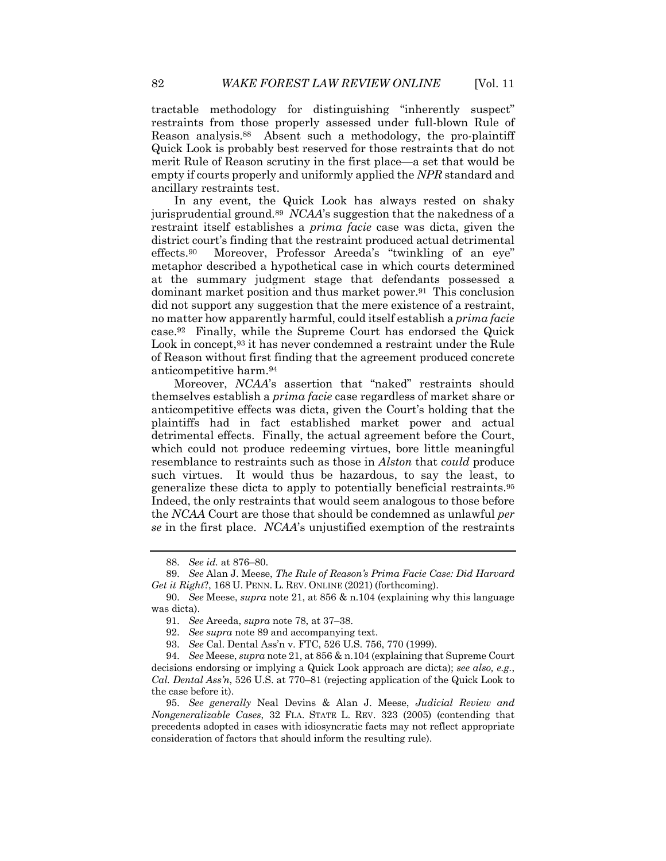tractable methodology for distinguishing "inherently suspect" restraints from those properly assessed under full-blown Rule of Reason analysis.88 Absent such a methodology, the pro-plaintiff Quick Look is probably best reserved for those restraints that do not merit Rule of Reason scrutiny in the first place—a set that would be empty if courts properly and uniformly applied the *NPR* standard and ancillary restraints test.

In any event*,* the Quick Look has always rested on shaky jurisprudential ground.89 *NCAA*'s suggestion that the nakedness of a restraint itself establishes a *prima facie* case was dicta, given the district court's finding that the restraint produced actual detrimental effects.90 Moreover, Professor Areeda's "twinkling of an eye" metaphor described a hypothetical case in which courts determined at the summary judgment stage that defendants possessed a dominant market position and thus market power.91 This conclusion did not support any suggestion that the mere existence of a restraint, no matter how apparently harmful, could itself establish a *prima facie* case.92 Finally, while the Supreme Court has endorsed the Quick Look in concept,<sup>93</sup> it has never condemned a restraint under the Rule of Reason without first finding that the agreement produced concrete anticompetitive harm.94

Moreover, *NCAA*'s assertion that "naked" restraints should themselves establish a *prima facie* case regardless of market share or anticompetitive effects was dicta, given the Court's holding that the plaintiffs had in fact established market power and actual detrimental effects. Finally, the actual agreement before the Court, which could not produce redeeming virtues, bore little meaningful resemblance to restraints such as those in *Alston* that *could* produce such virtues. It would thus be hazardous, to say the least, to generalize these dicta to apply to potentially beneficial restraints.95 Indeed, the only restraints that would seem analogous to those before the *NCAA* Court are those that should be condemned as unlawful *per se* in the first place. *NCAA*'s unjustified exemption of the restraints

<sup>88.</sup> *See id.* at 876–80.

<sup>89.</sup> *See* Alan J. Meese, *The Rule of Reason's Prima Facie Case: Did Harvard Get it Right*?, 168 U. PENN. L. REV. ONLINE (2021) (forthcoming).

<sup>90.</sup> *See* Meese, *supra* note 21, at 856 & n.104 (explaining why this language was dicta).

<sup>91.</sup> *See* Areeda, *supra* note 78, at 37–38.

<sup>92.</sup> *See supra* note 89 and accompanying text.

<sup>93.</sup> *See* Cal. Dental Ass'n v. FTC, 526 U.S. 756, 770 (1999).

<sup>94.</sup> *See* Meese, *supra* note 21, at 856 & n.104 (explaining that Supreme Court decisions endorsing or implying a Quick Look approach are dicta); *see also, e.g.*, *Cal. Dental Ass'n*, 526 U.S. at 770–81 (rejecting application of the Quick Look to the case before it).

<sup>95.</sup> *See generally* Neal Devins & Alan J. Meese, *Judicial Review and Nongeneralizable Cases*, 32 FLA. STATE L. REV. 323 (2005) (contending that precedents adopted in cases with idiosyncratic facts may not reflect appropriate consideration of factors that should inform the resulting rule).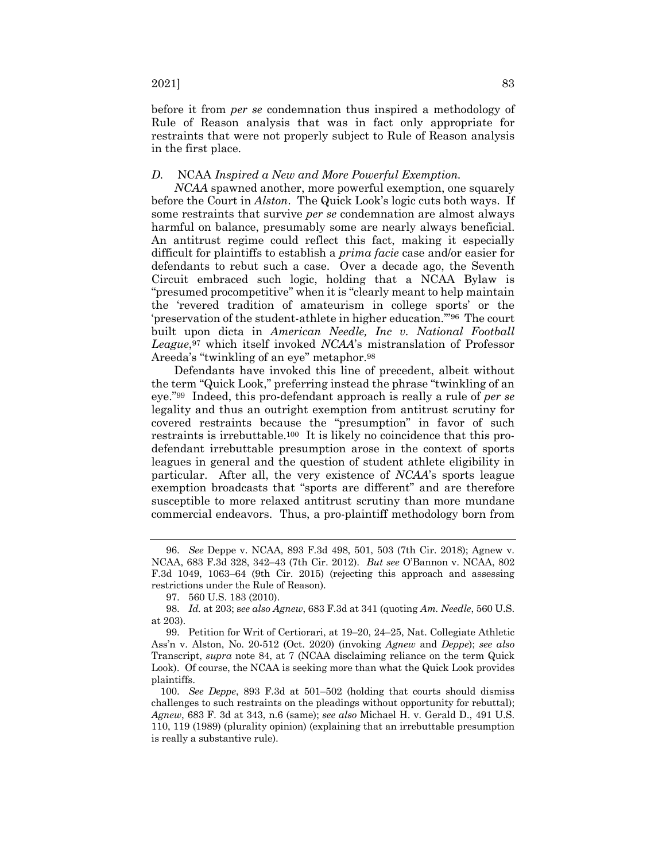before it from *per se* condemnation thus inspired a methodology of Rule of Reason analysis that was in fact only appropriate for restraints that were not properly subject to Rule of Reason analysis in the first place.

#### *D.* NCAA *Inspired a New and More Powerful Exemption.*

*NCAA* spawned another, more powerful exemption, one squarely before the Court in *Alston*. The Quick Look's logic cuts both ways. If some restraints that survive *per se* condemnation are almost always harmful on balance, presumably some are nearly always beneficial. An antitrust regime could reflect this fact, making it especially difficult for plaintiffs to establish a *prima facie* case and/or easier for defendants to rebut such a case. Over a decade ago, the Seventh Circuit embraced such logic, holding that a NCAA Bylaw is "presumed procompetitive" when it is "clearly meant to help maintain the 'revered tradition of amateurism in college sports' or the 'preservation of the student-athlete in higher education.'"96 The court built upon dicta in *American Needle, Inc v. National Football League*,97 which itself invoked *NCAA*'s mistranslation of Professor Areeda's "twinkling of an eye" metaphor.98

Defendants have invoked this line of precedent, albeit without the term "Quick Look," preferring instead the phrase "twinkling of an eye."99 Indeed, this pro-defendant approach is really a rule of *per se* legality and thus an outright exemption from antitrust scrutiny for covered restraints because the "presumption" in favor of such restraints is irrebuttable.100 It is likely no coincidence that this prodefendant irrebuttable presumption arose in the context of sports leagues in general and the question of student athlete eligibility in particular. After all, the very existence of *NCAA*'s sports league exemption broadcasts that "sports are different" and are therefore susceptible to more relaxed antitrust scrutiny than more mundane commercial endeavors. Thus, a pro-plaintiff methodology born from

<sup>96.</sup> *See* Deppe v. NCAA, 893 F.3d 498, 501, 503 (7th Cir. 2018); Agnew v. NCAA, 683 F.3d 328, 342–43 (7th Cir. 2012). *But see* O'Bannon v. NCAA, 802 F.3d 1049, 1063–64 (9th Cir. 2015) (rejecting this approach and assessing restrictions under the Rule of Reason).

<sup>97.</sup> 560 U.S. 183 (2010).

<sup>98.</sup> *Id.* at 203; s*ee also Agnew*, 683 F.3d at 341 (quoting *Am. Needle*, 560 U.S. at 203).

<sup>99.</sup> Petition for Writ of Certiorari, at 19–20, 24–25, Nat. Collegiate Athletic Ass'n v. Alston, No. 20-512 (Oct. 2020) (invoking *Agnew* and *Deppe*); *see also* Transcript, *supra* note 84, at 7 (NCAA disclaiming reliance on the term Quick Look). Of course, the NCAA is seeking more than what the Quick Look provides plaintiffs.

<sup>100.</sup> *See Deppe*, 893 F.3d at 501–502 (holding that courts should dismiss challenges to such restraints on the pleadings without opportunity for rebuttal); *Agnew*, 683 F. 3d at 343, n.6 (same); *see also* Michael H. v. Gerald D., 491 U.S. 110, 119 (1989) (plurality opinion) (explaining that an irrebuttable presumption is really a substantive rule).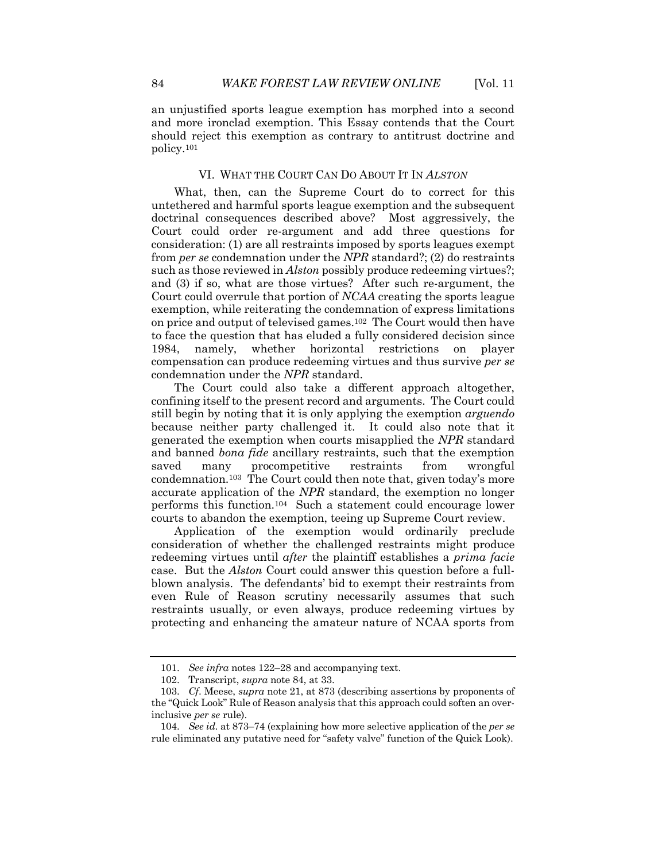an unjustified sports league exemption has morphed into a second and more ironclad exemption. This Essay contends that the Court should reject this exemption as contrary to antitrust doctrine and policy.101

#### VI. WHAT THE COURT CAN DO ABOUT IT IN *ALSTON*

What, then, can the Supreme Court do to correct for this untethered and harmful sports league exemption and the subsequent doctrinal consequences described above? Most aggressively, the Court could order re-argument and add three questions for consideration: (1) are all restraints imposed by sports leagues exempt from *per se* condemnation under the *NPR* standard?; (2) do restraints such as those reviewed in *Alston* possibly produce redeeming virtues?; and (3) if so, what are those virtues? After such re-argument, the Court could overrule that portion of *NCAA* creating the sports league exemption, while reiterating the condemnation of express limitations on price and output of televised games.102 The Court would then have to face the question that has eluded a fully considered decision since 1984, namely, whether horizontal restrictions on player compensation can produce redeeming virtues and thus survive *per se* condemnation under the *NPR* standard.

The Court could also take a different approach altogether, confining itself to the present record and arguments. The Court could still begin by noting that it is only applying the exemption *arguendo* because neither party challenged it. It could also note that it generated the exemption when courts misapplied the *NPR* standard and banned *bona fide* ancillary restraints, such that the exemption saved many procompetitive restraints from wrongful condemnation.103 The Court could then note that, given today's more accurate application of the *NPR* standard, the exemption no longer performs this function.104 Such a statement could encourage lower courts to abandon the exemption, teeing up Supreme Court review.

Application of the exemption would ordinarily preclude consideration of whether the challenged restraints might produce redeeming virtues until *after* the plaintiff establishes a *prima facie* case. But the *Alston* Court could answer this question before a fullblown analysis. The defendants' bid to exempt their restraints from even Rule of Reason scrutiny necessarily assumes that such restraints usually, or even always, produce redeeming virtues by protecting and enhancing the amateur nature of NCAA sports from

<sup>101.</sup> *See infra* notes 122–28 and accompanying text.

<sup>102.</sup> Transcript, *supra* note 84, at 33.

<sup>103.</sup> *Cf*. Meese, *supra* note 21, at 873 (describing assertions by proponents of the "Quick Look" Rule of Reason analysis that this approach could soften an overinclusive *per se* rule).

<sup>104.</sup> *See id.* at 873–74 (explaining how more selective application of the *per se* rule eliminated any putative need for "safety valve" function of the Quick Look).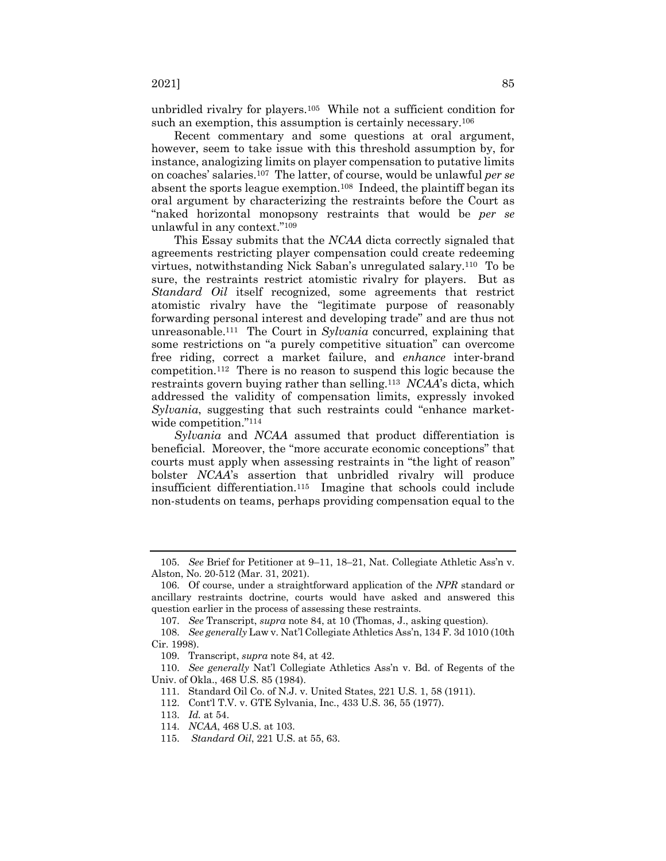unbridled rivalry for players.105 While not a sufficient condition for such an exemption, this assumption is certainly necessary.<sup>106</sup>

Recent commentary and some questions at oral argument, however, seem to take issue with this threshold assumption by, for instance, analogizing limits on player compensation to putative limits on coaches' salaries.107 The latter, of course, would be unlawful *per se* absent the sports league exemption.108 Indeed, the plaintiff began its oral argument by characterizing the restraints before the Court as "naked horizontal monopsony restraints that would be *per se* unlawful in any context."109

This Essay submits that the *NCAA* dicta correctly signaled that agreements restricting player compensation could create redeeming virtues, notwithstanding Nick Saban's unregulated salary.110 To be sure, the restraints restrict atomistic rivalry for players. But as *Standard Oil* itself recognized, some agreements that restrict atomistic rivalry have the "legitimate purpose of reasonably forwarding personal interest and developing trade" and are thus not unreasonable.111 The Court in *Sylvania* concurred, explaining that some restrictions on "a purely competitive situation" can overcome free riding, correct a market failure, and *enhance* inter-brand competition.112 There is no reason to suspend this logic because the restraints govern buying rather than selling.113 *NCAA*'s dicta, which addressed the validity of compensation limits, expressly invoked *Sylvania*, suggesting that such restraints could "enhance marketwide competition."<sup>114</sup>

*Sylvania* and *NCAA* assumed that product differentiation is beneficial. Moreover, the "more accurate economic conceptions" that courts must apply when assessing restraints in "the light of reason" bolster *NCAA*'s assertion that unbridled rivalry will produce insufficient differentiation.115 Imagine that schools could include non-students on teams, perhaps providing compensation equal to the

<sup>105.</sup> *See* Brief for Petitioner at 9–11, 18–21, Nat. Collegiate Athletic Ass'n v. Alston, No. 20-512 (Mar. 31, 2021).

<sup>106.</sup> Of course, under a straightforward application of the *NPR* standard or ancillary restraints doctrine, courts would have asked and answered this question earlier in the process of assessing these restraints.

<sup>107.</sup> *See* Transcript, *supra* note 84, at 10 (Thomas, J., asking question).

<sup>108.</sup> *See generally* Law v. Nat'l Collegiate Athletics Ass'n, 134 F. 3d 1010 (10th Cir. 1998).

<sup>109.</sup> Transcript, *supra* note 84, at 42.

<sup>110.</sup> *See generally* Nat'l Collegiate Athletics Ass'n v. Bd. of Regents of the Univ. of Okla., 468 U.S. 85 (1984).

<sup>111.</sup> Standard Oil Co. of N.J. v. United States, 221 U.S. 1, 58 (1911).

<sup>112.</sup> Cont'l T.V. v. GTE Sylvania, Inc., 433 U.S. 36, 55 (1977).

<sup>113.</sup> *Id.* at 54.

<sup>114.</sup> *NCAA*, 468 U.S. at 103.

<sup>115.</sup> *Standard Oil*, 221 U.S. at 55, 63.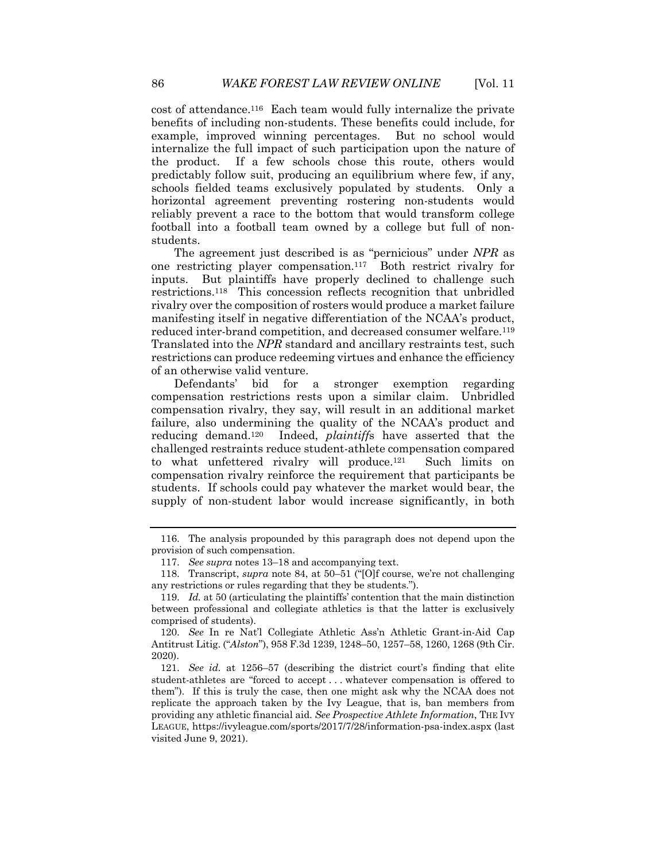cost of attendance.116 Each team would fully internalize the private benefits of including non-students. These benefits could include, for example, improved winning percentages. But no school would internalize the full impact of such participation upon the nature of the product. If a few schools chose this route, others would predictably follow suit, producing an equilibrium where few, if any, schools fielded teams exclusively populated by students. Only a horizontal agreement preventing rostering non-students would reliably prevent a race to the bottom that would transform college football into a football team owned by a college but full of nonstudents.

The agreement just described is as "pernicious" under *NPR* as one restricting player compensation.117 Both restrict rivalry for inputs. But plaintiffs have properly declined to challenge such restrictions.118 This concession reflects recognition that unbridled rivalry over the composition of rosters would produce a market failure manifesting itself in negative differentiation of the NCAA's product, reduced inter-brand competition, and decreased consumer welfare.<sup>119</sup> Translated into the *NPR* standard and ancillary restraints test, such restrictions can produce redeeming virtues and enhance the efficiency of an otherwise valid venture.

Defendants' bid for a stronger exemption regarding compensation restrictions rests upon a similar claim. Unbridled compensation rivalry, they say, will result in an additional market failure, also undermining the quality of the NCAA's product and reducing demand.120 Indeed, *plaintiff*s have asserted that the challenged restraints reduce student-athlete compensation compared to what unfettered rivalry will produce.121 Such limits on compensation rivalry reinforce the requirement that participants be students. If schools could pay whatever the market would bear, the supply of non-student labor would increase significantly, in both

<sup>116.</sup> The analysis propounded by this paragraph does not depend upon the provision of such compensation.

<sup>117.</sup> *See supra* notes 13–18 and accompanying text.

<sup>118.</sup> Transcript, *supra* note 84, at 50–51 ("[O]f course, we're not challenging any restrictions or rules regarding that they be students.").

<sup>119.</sup> *Id.* at 50 (articulating the plaintiffs' contention that the main distinction between professional and collegiate athletics is that the latter is exclusively comprised of students).

<sup>120.</sup> *See* In re Nat'l Collegiate Athletic Ass'n Athletic Grant-in-Aid Cap Antitrust Litig. ("*Alston*"), 958 F.3d 1239, 1248–50, 1257–58, 1260, 1268 (9th Cir. 2020).

<sup>121.</sup> *See id.* at 1256–57 (describing the district court's finding that elite student-athletes are "forced to accept . . . whatever compensation is offered to them"). If this is truly the case, then one might ask why the NCAA does not replicate the approach taken by the Ivy League, that is, ban members from providing any athletic financial aid. *See Prospective Athlete Information*, THE IVY LEAGUE, https://ivyleague.com/sports/2017/7/28/information-psa-index.aspx (last visited June 9, 2021).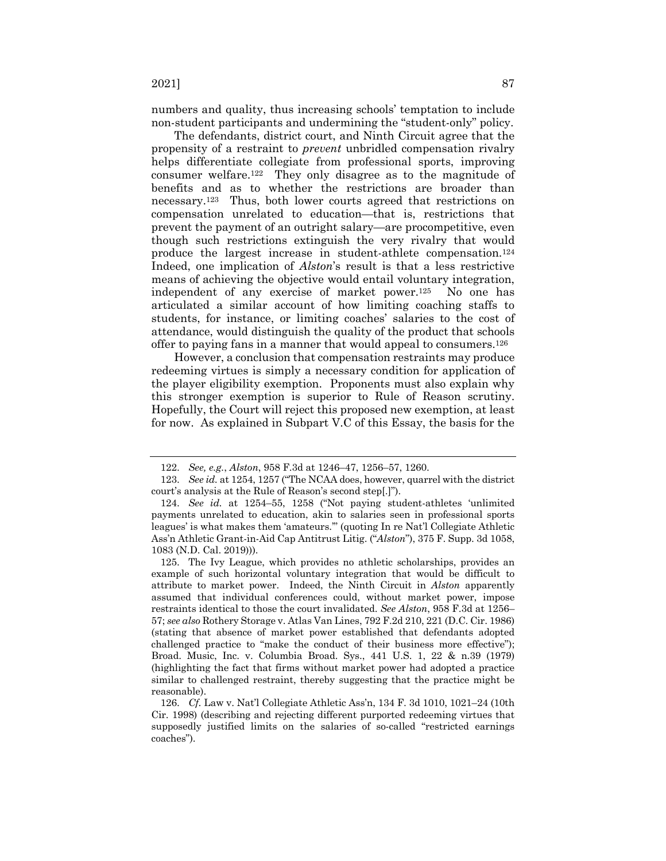numbers and quality, thus increasing schools' temptation to include non-student participants and undermining the "student-only" policy.

The defendants, district court, and Ninth Circuit agree that the propensity of a restraint to *prevent* unbridled compensation rivalry helps differentiate collegiate from professional sports, improving consumer welfare.122 They only disagree as to the magnitude of benefits and as to whether the restrictions are broader than necessary.123 Thus, both lower courts agreed that restrictions on compensation unrelated to education—that is, restrictions that prevent the payment of an outright salary—are procompetitive, even though such restrictions extinguish the very rivalry that would produce the largest increase in student-athlete compensation.124 Indeed, one implication of *Alston*'s result is that a less restrictive means of achieving the objective would entail voluntary integration, independent of any exercise of market power.125 No one has articulated a similar account of how limiting coaching staffs to students, for instance, or limiting coaches' salaries to the cost of attendance, would distinguish the quality of the product that schools offer to paying fans in a manner that would appeal to consumers.126

However, a conclusion that compensation restraints may produce redeeming virtues is simply a necessary condition for application of the player eligibility exemption. Proponents must also explain why this stronger exemption is superior to Rule of Reason scrutiny. Hopefully, the Court will reject this proposed new exemption, at least for now. As explained in Subpart V.C of this Essay, the basis for the

<sup>122.</sup> *See, e.g.*, *Alston*, 958 F.3d at 1246–47, 1256–57, 1260.

<sup>123.</sup> *See id.* at 1254, 1257 ("The NCAA does, however, quarrel with the district court's analysis at the Rule of Reason's second step[.]").

<sup>124.</sup> *See id.* at 1254–55, 1258 ("Not paying student-athletes 'unlimited payments unrelated to education, akin to salaries seen in professional sports leagues' is what makes them 'amateurs.'" (quoting In re Nat'l Collegiate Athletic Ass'n Athletic Grant-in-Aid Cap Antitrust Litig. ("*Alston*"), 375 F. Supp. 3d 1058, 1083 (N.D. Cal. 2019))).

<sup>125.</sup> The Ivy League, which provides no athletic scholarships, provides an example of such horizontal voluntary integration that would be difficult to attribute to market power. Indeed, the Ninth Circuit in *Alston* apparently assumed that individual conferences could, without market power, impose restraints identical to those the court invalidated. *See Alston*, 958 F.3d at 1256– 57; *see also* Rothery Storage v. Atlas Van Lines, 792 F.2d 210, 221 (D.C. Cir. 1986) (stating that absence of market power established that defendants adopted challenged practice to "make the conduct of their business more effective"); Broad. Music, Inc. v. Columbia Broad. Sys., 441 U.S. 1, 22 & n.39 (1979) (highlighting the fact that firms without market power had adopted a practice similar to challenged restraint, thereby suggesting that the practice might be reasonable).

<sup>126.</sup> *Cf.* Law v. Nat'l Collegiate Athletic Ass'n, 134 F. 3d 1010, 1021–24 (10th Cir. 1998) (describing and rejecting different purported redeeming virtues that supposedly justified limits on the salaries of so-called "restricted earnings coaches").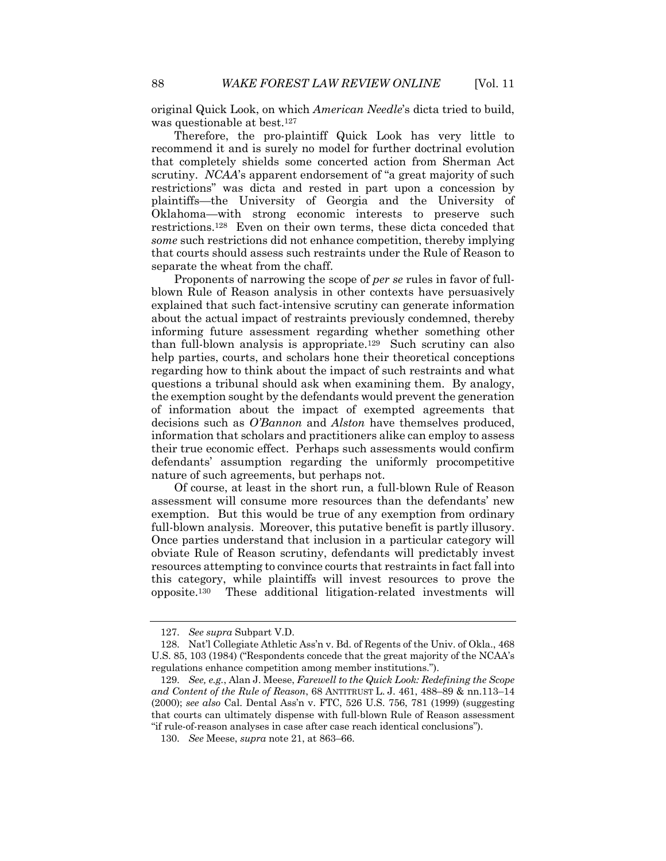original Quick Look, on which *American Needle*'s dicta tried to build, was questionable at best.<sup>127</sup>

Therefore, the pro-plaintiff Quick Look has very little to recommend it and is surely no model for further doctrinal evolution that completely shields some concerted action from Sherman Act scrutiny. *NCAA*'s apparent endorsement of "a great majority of such restrictions" was dicta and rested in part upon a concession by plaintiffs—the University of Georgia and the University of Oklahoma—with strong economic interests to preserve such restrictions.128 Even on their own terms, these dicta conceded that *some* such restrictions did not enhance competition, thereby implying that courts should assess such restraints under the Rule of Reason to separate the wheat from the chaff.

Proponents of narrowing the scope of *per se* rules in favor of fullblown Rule of Reason analysis in other contexts have persuasively explained that such fact-intensive scrutiny can generate information about the actual impact of restraints previously condemned, thereby informing future assessment regarding whether something other than full-blown analysis is appropriate.129 Such scrutiny can also help parties, courts, and scholars hone their theoretical conceptions regarding how to think about the impact of such restraints and what questions a tribunal should ask when examining them. By analogy, the exemption sought by the defendants would prevent the generation of information about the impact of exempted agreements that decisions such as *O'Bannon* and *Alston* have themselves produced, information that scholars and practitioners alike can employ to assess their true economic effect. Perhaps such assessments would confirm defendants' assumption regarding the uniformly procompetitive nature of such agreements, but perhaps not.

Of course, at least in the short run, a full-blown Rule of Reason assessment will consume more resources than the defendants' new exemption. But this would be true of any exemption from ordinary full-blown analysis. Moreover, this putative benefit is partly illusory. Once parties understand that inclusion in a particular category will obviate Rule of Reason scrutiny, defendants will predictably invest resources attempting to convince courts that restraints in fact fall into this category, while plaintiffs will invest resources to prove the opposite.130 These additional litigation-related investments will

<sup>127.</sup> *See supra* Subpart V.D.

<sup>128.</sup> Nat'l Collegiate Athletic Ass'n v. Bd. of Regents of the Univ. of Okla., 468 U.S. 85, 103 (1984) ("Respondents concede that the great majority of the NCAA's regulations enhance competition among member institutions.").

<sup>129.</sup> *See, e.g.*, Alan J. Meese, *Farewell to the Quick Look: Redefining the Scope and Content of the Rule of Reason*, 68 ANTITRUST L. J. 461, 488–89 & nn.113–14 (2000); *see also* Cal. Dental Ass'n v. FTC, 526 U.S. 756, 781 (1999) (suggesting that courts can ultimately dispense with full-blown Rule of Reason assessment "if rule-of-reason analyses in case after case reach identical conclusions").

<sup>130.</sup> *See* Meese, *supra* note 21, at 863–66.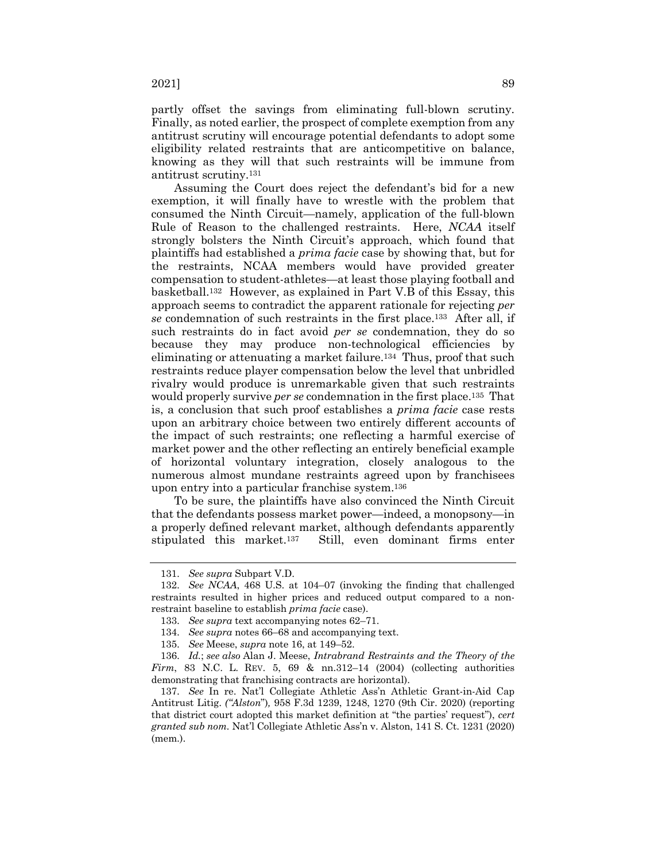partly offset the savings from eliminating full-blown scrutiny. Finally, as noted earlier, the prospect of complete exemption from any antitrust scrutiny will encourage potential defendants to adopt some eligibility related restraints that are anticompetitive on balance, knowing as they will that such restraints will be immune from antitrust scrutiny.131

Assuming the Court does reject the defendant's bid for a new exemption, it will finally have to wrestle with the problem that consumed the Ninth Circuit—namely, application of the full-blown Rule of Reason to the challenged restraints. Here, *NCAA* itself strongly bolsters the Ninth Circuit's approach, which found that plaintiffs had established a *prima facie* case by showing that, but for the restraints, NCAA members would have provided greater compensation to student-athletes—at least those playing football and basketball.132 However, as explained in Part V.B of this Essay, this approach seems to contradict the apparent rationale for rejecting *per se* condemnation of such restraints in the first place.133 After all, if such restraints do in fact avoid *per se* condemnation, they do so because they may produce non-technological efficiencies by eliminating or attenuating a market failure.<sup>134</sup> Thus, proof that such restraints reduce player compensation below the level that unbridled rivalry would produce is unremarkable given that such restraints would properly survive *per se* condemnation in the first place.135 That is, a conclusion that such proof establishes a *prima facie* case rests upon an arbitrary choice between two entirely different accounts of the impact of such restraints; one reflecting a harmful exercise of market power and the other reflecting an entirely beneficial example of horizontal voluntary integration, closely analogous to the numerous almost mundane restraints agreed upon by franchisees upon entry into a particular franchise system.136

To be sure, the plaintiffs have also convinced the Ninth Circuit that the defendants possess market power—indeed, a monopsony—in a properly defined relevant market, although defendants apparently stipulated this market.137 Still, even dominant firms enter

<sup>131.</sup> *See supra* Subpart V.D.

<sup>132.</sup> *See NCAA*, 468 U.S. at 104–07 (invoking the finding that challenged restraints resulted in higher prices and reduced output compared to a nonrestraint baseline to establish *prima facie* case).

<sup>133.</sup> *See supra* text accompanying notes 62–71.

<sup>134.</sup> *See supra* notes 66–68 and accompanying text.

<sup>135.</sup> *See* Meese, *supra* note 16, at 149–52.

<sup>136.</sup> *Id.*; *see also* Alan J. Meese, *Intrabrand Restraints and the Theory of the Firm*, 83 N.C. L. REV. 5, 69 & nn.312–14 (2004) (collecting authorities demonstrating that franchising contracts are horizontal).

<sup>137.</sup> *See* In re. Nat'l Collegiate Athletic Ass'n Athletic Grant-in-Aid Cap Antitrust Litig. *("Alston*")*,* 958 F.3d 1239, 1248, 1270 (9th Cir. 2020) (reporting that district court adopted this market definition at "the parties' request"), *cert granted sub nom.* Nat'l Collegiate Athletic Ass'n v. Alston, 141 S. Ct. 1231 (2020) (mem.).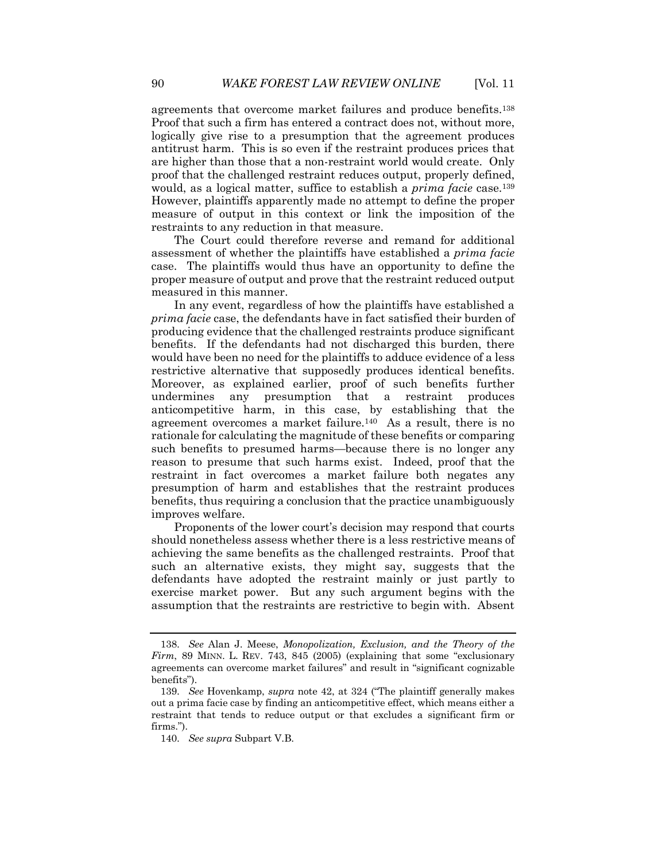agreements that overcome market failures and produce benefits.138 Proof that such a firm has entered a contract does not, without more, logically give rise to a presumption that the agreement produces antitrust harm. This is so even if the restraint produces prices that are higher than those that a non-restraint world would create. Only proof that the challenged restraint reduces output, properly defined, would, as a logical matter, suffice to establish a *prima facie* case.<sup>139</sup> However, plaintiffs apparently made no attempt to define the proper measure of output in this context or link the imposition of the restraints to any reduction in that measure.

The Court could therefore reverse and remand for additional assessment of whether the plaintiffs have established a *prima facie* case. The plaintiffs would thus have an opportunity to define the proper measure of output and prove that the restraint reduced output measured in this manner.

In any event, regardless of how the plaintiffs have established a *prima facie* case, the defendants have in fact satisfied their burden of producing evidence that the challenged restraints produce significant benefits. If the defendants had not discharged this burden, there would have been no need for the plaintiffs to adduce evidence of a less restrictive alternative that supposedly produces identical benefits. Moreover, as explained earlier, proof of such benefits further undermines any presumption that a restraint produces anticompetitive harm, in this case, by establishing that the agreement overcomes a market failure.140 As a result, there is no rationale for calculating the magnitude of these benefits or comparing such benefits to presumed harms—because there is no longer any reason to presume that such harms exist. Indeed, proof that the restraint in fact overcomes a market failure both negates any presumption of harm and establishes that the restraint produces benefits, thus requiring a conclusion that the practice unambiguously improves welfare.

Proponents of the lower court's decision may respond that courts should nonetheless assess whether there is a less restrictive means of achieving the same benefits as the challenged restraints. Proof that such an alternative exists, they might say, suggests that the defendants have adopted the restraint mainly or just partly to exercise market power. But any such argument begins with the assumption that the restraints are restrictive to begin with. Absent

<sup>138.</sup> *See* Alan J. Meese, *Monopolization, Exclusion, and the Theory of the Firm*, 89 MINN. L. REV. 743, 845 (2005) (explaining that some "exclusionary agreements can overcome market failures" and result in "significant cognizable benefits").

<sup>139.</sup> *See* Hovenkamp, *supra* note 42, at 324 ("The plaintiff generally makes out a prima facie case by finding an anticompetitive effect, which means either a restraint that tends to reduce output or that excludes a significant firm or firms.").

<sup>140.</sup> *See supra* Subpart V.B.